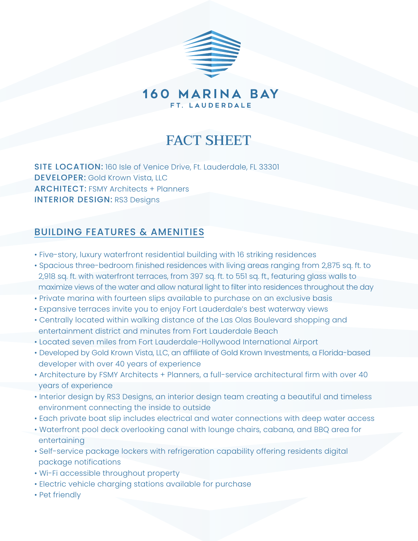

160 MARINA BAY FT. LAUDERDALE

# **FACT SHEET**

SITE LOCATION: 160 Isle of Venice Drive, Ft. Lauderdale, FL 33301 DEVELOPER: Gold Krown Vista, LLC ARCHITECT: FSMY Architects + Planners INTERIOR DESIGN: RS3 Designs

# BUILDING FEATURES & AMENITIES

- Five-story, luxury waterfront residential building with 16 striking residences
- Spacious three-bedroom finished residences with living areas ranging from 2,875 sq. ft. to 2,918 sq. ft. with waterfront terraces, from 397 sq. ft. to 551 sq. ft., featuring glass walls to maximize views of the water and allow natural light to filter into residences throughout the day
- Private marina with fourteen slips available to purchase on an exclusive basis
- Expansive terraces invite you to enjoy Fort Lauderdale's best waterway views
- Centrally located within walking distance of the Las Olas Boulevard shopping and entertainment district and minutes from Fort Lauderdale Beach
- Located seven miles from Fort Lauderdale-Hollywood International Airport
- Developed by Gold Krown Vista, LLC, an affiliate of Gold Krown Investments, a Florida-based developer with over 40 years of experience
- Architecture by FSMY Architects + Planners, a full-service architectural firm with over 40 years of experience
- Interior design by RS3 Designs, an interior design team creating a beautiful and timeless environment connecting the inside to outside
- Each private boat slip includes electrical and water connections with deep water access
- Waterfront pool deck overlooking canal with lounge chairs, cabana, and BBQ area for entertaining
- Self-service package lockers with refrigeration capability offering residents digital package notifications
- Wi-Fi accessible throughout property
- Electric vehicle charging stations available for purchase
- Pet friendly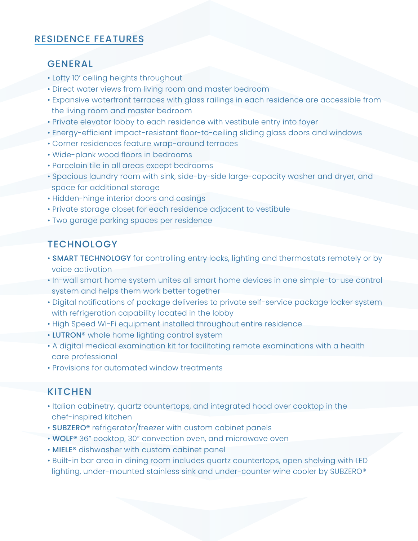## RESIDENCE FEATURES

#### GENERAL

- Lofty 10' ceiling heights throughout
- Direct water views from living room and master bedroom
- Expansive waterfront terraces with glass railings in each residence are accessible from the living room and master bedroom
- Private elevator lobby to each residence with vestibule entry into foyer
- Energy-efficient impact-resistant floor-to-ceiling sliding glass doors and windows
- Corner residences feature wrap-around terraces
- Wide-plank wood floors in bedrooms
- Porcelain tile in all areas except bedrooms
- Spacious laundry room with sink, side-by-side large-capacity washer and dryer, and space for additional storage
- Hidden-hinge interior doors and casings
- Private storage closet for each residence adjacent to vestibule
- Two garage parking spaces per residence

## **TECHNOLOGY**

- **SMART TECHNOLOGY** for controlling entry locks, lighting and thermostats remotely or by voice activation
- In-wall smart home system unites all smart home devices in one simple-to-use control system and helps them work better together
- Digital notifications of package deliveries to private self-service package locker system with refrigeration capability located in the lobby
- High Speed Wi-Fi equipment installed throughout entire residence
- LUTRON<sup>®</sup> whole home lighting control system
- A digital medical examination kit for facilitating remote examinations with a health care professional
- Provisions for automated window treatments

### **KITCHEN**

- Italian cabinetry, quartz countertops, and integrated hood over cooktop in the chef-inspired kitchen
- SUBZERO® refrigerator/freezer with custom cabinet panels
- WOLF® 36" cooktop, 30" convection oven, and microwave oven
- MIELE® dishwasher with custom cabinet panel
- Built-in bar area in dining room includes quartz countertops, open shelving with LED lighting, under-mounted stainless sink and under-counter wine cooler by SUBZERO®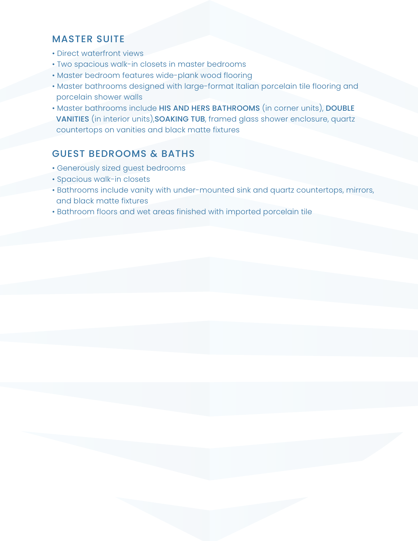## MASTER SUITE

- Direct waterfront views
- Two spacious walk-in closets in master bedrooms
- Master bedroom features wide-plank wood flooring
- Master bathrooms designed with large-format Italian porcelain tile flooring and porcelain shower walls
- Master bathrooms include HIS AND HERS BATHROOMS (in corner units), DOUBLE VANITIES (in interior units),SOAKING TUB, framed glass shower enclosure, quartz countertops on vanities and black matte fixtures

## GUEST BEDROOMS & BATHS

- Generously sized guest bedrooms
- Spacious walk-in closets
- Bathrooms include vanity with under-mounted sink and quartz countertops, mirrors, and black matte fixtures
- Bathroom floors and wet areas finished with imported porcelain tile